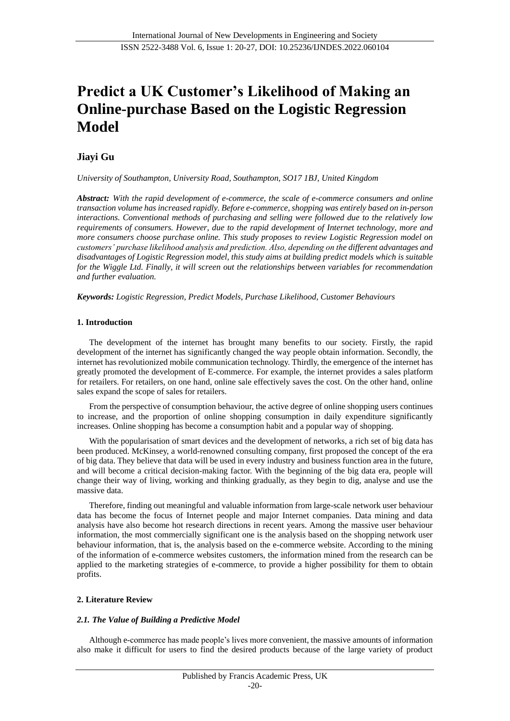# **Predict a UK Customer's Likelihood of Making an Online-purchase Based on the Logistic Regression Model**

## **Jiayi Gu**

*University of Southampton, University Road, Southampton, SO17 1BJ, United Kingdom*

*Abstract: With the rapid development of e-commerce, the scale of e-commerce consumers and online transaction volume has increased rapidly. Before e-commerce, shopping was entirely based on in-person interactions. Conventional methods of purchasing and selling were followed due to the relatively low requirements of consumers. However, due to the rapid development of Internet technology, more and more consumers choose purchase online. This study proposes to review Logistic Regression model on customers' purchase likelihood analysis and prediction. Also, depending on the different advantages and disadvantages of Logistic Regression model, this study aims at building predict models which is suitable for the Wiggle Ltd. Finally, it will screen out the relationships between variables for recommendation and further evaluation.*

*Keywords: Logistic Regression, Predict Models, Purchase Likelihood, Customer Behaviours*

## **1. Introduction**

The development of the internet has brought many benefits to our society. Firstly, the rapid development of the internet has significantly changed the way people obtain information. Secondly, the internet has revolutionized mobile communication technology. Thirdly, the emergence of the internet has greatly promoted the development of E-commerce. For example, the internet provides a sales platform for retailers. For retailers, on one hand, online sale effectively saves the cost. On the other hand, online sales expand the scope of sales for retailers.

From the perspective of consumption behaviour, the active degree of online shopping users continues to increase, and the proportion of online shopping consumption in daily expenditure significantly increases. Online shopping has become a consumption habit and a popular way of shopping.

With the popularisation of smart devices and the development of networks, a rich set of big data has been produced. McKinsey, a world-renowned consulting company, first proposed the concept of the era of big data. They believe that data will be used in every industry and business function area in the future, and will become a critical decision-making factor. With the beginning of the big data era, people will change their way of living, working and thinking gradually, as they begin to dig, analyse and use the massive data.

Therefore, finding out meaningful and valuable information from large-scale network user behaviour data has become the focus of Internet people and major Internet companies. Data mining and data analysis have also become hot research directions in recent years. Among the massive user behaviour information, the most commercially significant one is the analysis based on the shopping network user behaviour information, that is, the analysis based on the e-commerce website. According to the mining of the information of e-commerce websites customers, the information mined from the research can be applied to the marketing strategies of e-commerce, to provide a higher possibility for them to obtain profits.

## **2. Literature Review**

## *2.1. The Value of Building a Predictive Model*

Although e-commerce has made people's lives more convenient, the massive amounts of information also make it difficult for users to find the desired products because of the large variety of product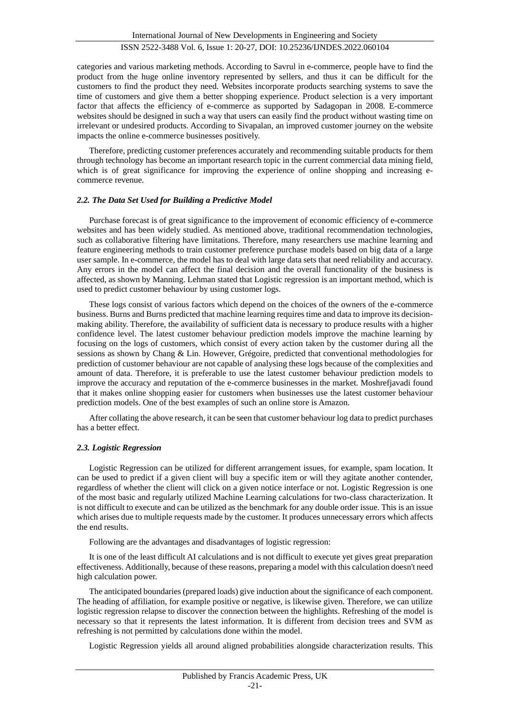categories and various marketing methods. According to Savrul in e-commerce, people have to find the product from the huge online inventory represented by sellers, and thus it can be difficult for the customers to find the product they need. Websites incorporate products searching systems to save the time of customers and give them a better shopping experience. Product selection is a very important factor that affects the efficiency of e-commerce as supported by Sadagopan in 2008. E-commerce websites should be designed in such a way that users can easily find the product without wasting time on irrelevant or undesired products. According to Sivapalan, an improved customer journey on the website impacts the online e-commerce businesses positively.

Therefore, predicting customer preferences accurately and recommending suitable products for them through technology has become an important research topic in the current commercial data mining field, which is of great significance for improving the experience of online shopping and increasing ecommerce revenue.

### *2.2. The Data Set Used for Building a Predictive Model*

Purchase forecast is of great significance to the improvement of economic efficiency of e-commerce websites and has been widely studied. As mentioned above, traditional recommendation technologies, such as collaborative filtering have limitations. Therefore, many researchers use machine learning and feature engineering methods to train customer preference purchase models based on big data of a large user sample. In e-commerce, the model has to deal with large data sets that need reliability and accuracy. Any errors in the model can affect the final decision and the overall functionality of the business is affected, as shown by Manning. Lehman stated that Logistic regression is an important method, which is used to predict customer behaviour by using customer logs.

These logs consist of various factors which depend on the choices of the owners of the e-commerce business. Burns and Burns predicted that machine learning requires time and data to improve its decisionmaking ability. Therefore, the availability of sufficient data is necessary to produce results with a higher confidence level. The latest customer behaviour prediction models improve the machine learning by focusing on the logs of customers, which consist of every action taken by the customer during all the sessions as shown by Chang & Lin. However, Grégoire, predicted that conventional methodologies for prediction of customer behaviour are not capable of analysing these logs because of the complexities and amount of data. Therefore, it is preferable to use the latest customer behaviour prediction models to improve the accuracy and reputation of the e-commerce businesses in the market. Moshrefjavadi found that it makes online shopping easier for customers when businesses use the latest customer behaviour prediction models. One of the best examples of such an online store is Amazon.

After collating the above research, it can be seen that customer behaviour log data to predict purchases has a better effect.

#### *2.3. Logistic Regression*

Logistic Regression can be utilized for different arrangement issues, for example, spam location. It can be used to predict if a given client will buy a specific item or will they agitate another contender, regardless of whether the client will click on a given notice interface or not. Logistic Regression is one of the most basic and regularly utilized Machine Learning calculations for two-class characterization. It is not difficult to execute and can be utilized as the benchmark for any double order issue. This is an issue which arises due to multiple requests made by the customer. It produces unnecessary errors which affects the end results.

Following are the advantages and disadvantages of logistic regression:

It is one of the least difficult AI calculations and is not difficult to execute yet gives great preparation effectiveness. Additionally, because of these reasons, preparing a model with this calculation doesn't need high calculation power.

The anticipated boundaries (prepared loads) give induction about the significance of each component. The heading of affiliation, for example positive or negative, is likewise given. Therefore, we can utilize logistic regression relapse to discover the connection between the highlights. Refreshing of the model is necessary so that it represents the latest information. It is different from decision trees and SVM as refreshing is not permitted by calculations done within the model.

Logistic Regression yields all around aligned probabilities alongside characterization results. This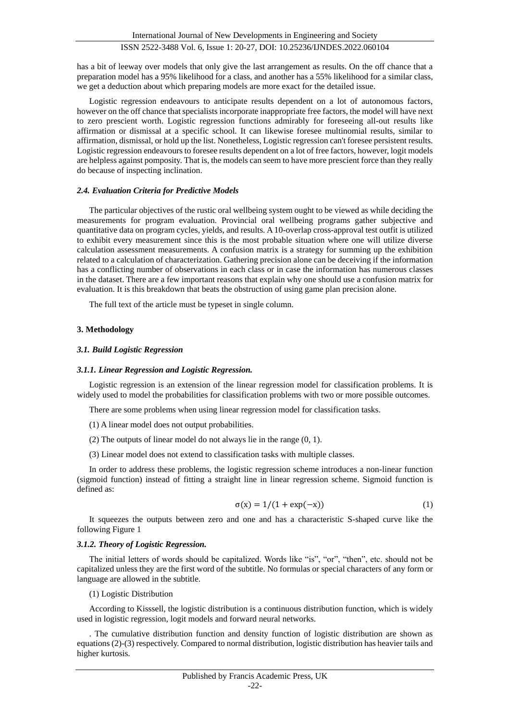has a bit of leeway over models that only give the last arrangement as results. On the off chance that a preparation model has a 95% likelihood for a class, and another has a 55% likelihood for a similar class, we get a deduction about which preparing models are more exact for the detailed issue.

Logistic regression endeavours to anticipate results dependent on a lot of autonomous factors, however on the off chance that specialists incorporate inappropriate free factors, the model will have next to zero prescient worth. Logistic regression functions admirably for foreseeing all-out results like affirmation or dismissal at a specific school. It can likewise foresee multinomial results, similar to affirmation, dismissal, or hold up the list. Nonetheless, Logistic regression can't foresee persistent results. Logistic regression endeavours to foresee results dependent on a lot of free factors, however, logit models are helpless against pomposity. That is, the models can seem to have more prescient force than they really do because of inspecting inclination.

#### *2.4. Evaluation Criteria for Predictive Models*

The particular objectives of the rustic oral wellbeing system ought to be viewed as while deciding the measurements for program evaluation. Provincial oral wellbeing programs gather subjective and quantitative data on program cycles, yields, and results. A 10-overlap cross-approval test outfit is utilized to exhibit every measurement since this is the most probable situation where one will utilize diverse calculation assessment measurements. A confusion matrix is a strategy for summing up the exhibition related to a calculation of characterization. Gathering precision alone can be deceiving if the information has a conflicting number of observations in each class or in case the information has numerous classes in the dataset. There are a few important reasons that explain why one should use a confusion matrix for evaluation. It is this breakdown that beats the obstruction of using game plan precision alone.

The full text of the article must be typeset in single column.

#### **3. Methodology**

#### *3.1. Build Logistic Regression*

#### *3.1.1. Linear Regression and Logistic Regression.*

Logistic regression is an extension of the linear regression model for classification problems. It is widely used to model the probabilities for classification problems with two or more possible outcomes.

There are some problems when using linear regression model for classification tasks.

- (1) A linear model does not output probabilities.
- (2) The outputs of linear model do not always lie in the range (0, 1).
- (3) Linear model does not extend to classification tasks with multiple classes.

In order to address these problems, the logistic regression scheme introduces a non-linear function (sigmoid function) instead of fitting a straight line in linear regression scheme. Sigmoid function is defined as:

$$
\sigma(x) = 1/(1 + \exp(-x))\tag{1}
$$

It squeezes the outputs between zero and one and has a characteristic S-shaped curve like the following Figure 1

#### *3.1.2. Theory of Logistic Regression.*

The initial letters of words should be capitalized. Words like "is", "or", "then", etc. should not be capitalized unless they are the first word of the subtitle. No formulas or special characters of any form or language are allowed in the subtitle.

(1) Logistic Distribution

According to Kisssell, the logistic distribution is a continuous distribution function, which is widely used in logistic regression, logit models and forward neural networks.

. The cumulative distribution function and density function of logistic distribution are shown as equations (2)-(3) respectively. Compared to normal distribution, logistic distribution has heavier tails and higher kurtosis.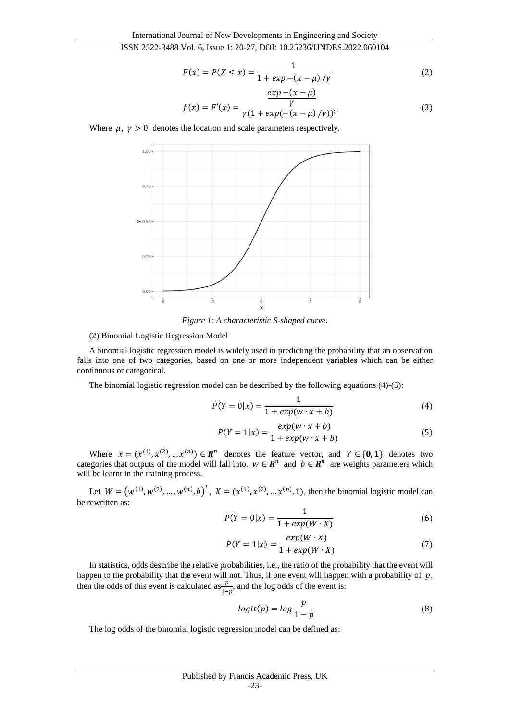$$
F(x) = P(X \le x) = \frac{1}{1 + exp - (x - \mu)/\gamma}
$$
 (2)

$$
f(x) = F'(x) = \frac{\frac{\mu}{\gamma} \frac{\mu}{\gamma}}{\gamma (1 + \exp(-(x - \mu) / \gamma))^2}
$$
(3)

Where  $\mu$ ,  $\gamma > 0$  denotes the location and scale parameters respectively.



*Figure 1: A characteristic S-shaped curve.*

#### (2) Binomial Logistic Regression Model

A binomial logistic regression model is widely used in predicting the probability that an observation falls into one of two categories, based on one or more independent variables which can be either continuous or categorical.

The binomial logistic regression model can be described by the following equations (4)-(5):

$$
P(Y = 0|x) = \frac{1}{1 + exp(w \cdot x + b)}
$$
(4)

$$
P(Y=1|x) = \frac{exp(w \cdot x + b)}{1 + exp(w \cdot x + b)}
$$
(5)

Where  $x = (x^{(1)}, x^{(2)}, \dots, x^{(n)}) \in \mathbb{R}^n$  denotes the feature vector, and  $Y \in \{0, 1\}$  denotes two categories that outputs of the model will fall into.  $w \in \mathbb{R}^n$  and  $b \in \mathbb{R}^n$  are weights parameters which will be learnt in the training process.

Let  $W = (w^{(1)}, w^{(2)}, ..., w^{(n)}, b)^T$ ,  $X = (x^{(1)}, x^{(2)}, ..., x^{(n)}, 1)$ , then the binomial logistic model can be rewritten as:

$$
P(Y = 0|x) = \frac{1}{1 + exp(W \cdot X)}
$$
 (6)

$$
P(Y = 1|x) = \frac{exp(W \cdot X)}{1 + exp(W \cdot X)}
$$
\n(7)

In statistics, odds describe the relative probabilities, i.e., the ratio of the probability that the event will happen to the probability that the event will not. Thus, if one event will happen with a probability of  $p$ , then the odds of this event is calculated as  $\frac{p}{1-p}$ , and the log odds of the event is:

$$
logit(p) = log \frac{p}{1-p}
$$
 (8)

The log odds of the binomial logistic regression model can be defined as: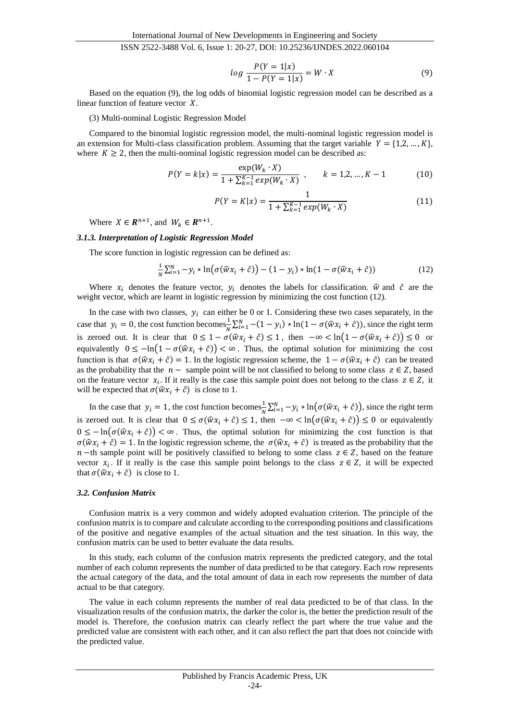$$
log \frac{P(Y=1|x)}{1 - P(Y=1|x)} = W \cdot X \tag{9}
$$

Based on the equation (9), the log odds of binomial logistic regression model can be described as a linear function of feature vector  $X$ .

(3) Multi-nominal Logistic Regression Model

Compared to the binomial logistic regression model, the multi-nominal logistic regression model is an extension for Multi-class classification problem. Assuming that the target variable  $Y = \{1, 2, ..., K\}$ , where  $K \geq 2$ , then the multi-nominal logistic regression model can be described as:

$$
P(Y = k|x) = \frac{\exp(W_k \cdot X)}{1 + \sum_{k=1}^{K-1} \exp(W_k \cdot X)}, \qquad k = 1, 2, ..., K-1
$$
 (10)

$$
P(Y = K|x) = \frac{1}{1 + \sum_{k=1}^{K-1} exp(W_k \cdot X)}
$$
(11)

Where  $X \in \mathbb{R}^{n+1}$ , and  $W_k \in \mathbb{R}^{n+1}$ .

#### *3.1.3. Interpretation of Logistic Regression Model*

The score function in logistic regression can be defined as:

$$
\frac{1}{N}\sum_{i=1}^{N}-y_i*\ln(\sigma(\widehat{w}x_i+\widehat{c}))-(1-y_i)*\ln(1-\sigma(\widehat{w}x_i+\widehat{c}))
$$
\n(12)

Where  $x_i$  denotes the feature vector,  $y_i$  denotes the labels for classification.  $\hat{w}$  and  $\hat{c}$  are the weight vector, which are learnt in logistic regression by minimizing the cost function (12).

In the case with two classes,  $y_i$  can either be 0 or 1. Considering these two cases separately, in the case that  $y_i = 0$ , the cost function becomes  $\frac{1}{N} \sum_{i=1}^{N} -(1 - y_i) * \ln(1 - \sigma(\hat{w}x_i + \hat{c}))$ , since the right term is zeroed out. It is clear that  $0 \le 1 - \sigma(\widehat{w}x_i + \widehat{c}) \le 1$ , then  $-\infty < \ln(1 - \sigma(\widehat{w}x_i + \widehat{c})) \le 0$  or equivalently  $0 \le -\ln(1 - \sigma(\hat{w}x_i + \hat{c})) < \infty$ . Thus, the optimal solution for minimizing the cost function is that  $\sigma(\hat{w}x_i + \hat{c}) = 1$ . In the logistic regression scheme, the  $1 - \sigma(\hat{w}x_i + \hat{c})$  can be treated as the probability that the  $n-$  sample point will be not classified to belong to some class  $z \in \mathbb{Z}$ , based on the feature vector  $x_i$ . If it really is the case this sample point does not belong to the class  $z \in Z$ , it will be expected that  $\sigma(\hat{w}x_i + \hat{c})$  is close to 1.

In the case that  $y_i = 1$ , the cost function becomes  $\frac{1}{N} \sum_{i=1}^{N} -y_i * \ln(\sigma(\hat{w}x_i + \hat{c}))$ , since the right term is zeroed out. It is clear that  $0 \le \sigma(\hat{w}x_i + \hat{c}) \le 1$ , then  $-\infty < \ln(\sigma(\hat{w}x_i + \hat{c})) \le 0$  or equivalently  $0 \le -\ln(\sigma(\hat{w}x_i + \hat{c})) < \infty$ . Thus, the optimal solution for minimizing the cost function is that  $\sigma(\hat{w}x_i + \hat{c}) = 1$ . In the logistic regression scheme, the  $\sigma(\hat{w}x_i + \hat{c})$  is treated as the probability that the  $n$  –th sample point will be positively classified to belong to some class  $z \in Z$ , based on the feature vector  $x_i$ . If it really is the case this sample point belongs to the class  $z \in Z$ , it will be expected that  $\sigma(\hat{w} x_i + \hat{c})$  is close to 1.

#### *3.2. Confusion Matrix*

Confusion matrix is a very common and widely adopted evaluation criterion. The principle of the confusion matrix is to compare and calculate according to the corresponding positions and classifications of the positive and negative examples of the actual situation and the test situation. In this way, the confusion matrix can be used to better evaluate the data results.

In this study, each column of the confusion matrix represents the predicted category, and the total number of each column represents the number of data predicted to be that category. Each row represents the actual category of the data, and the total amount of data in each row represents the number of data actual to be that category.

The value in each column represents the number of real data predicted to be of that class. In the visualization results of the confusion matrix, the darker the color is, the better the prediction result of the model is. Therefore, the confusion matrix can clearly reflect the part where the true value and the predicted value are consistent with each other, and it can also reflect the part that does not coincide with the predicted value.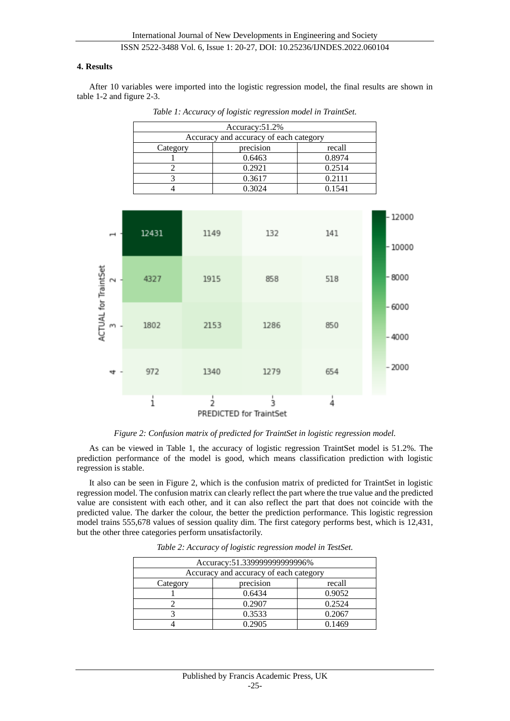#### **4. Results**

After 10 variables were imported into the logistic regression model, the final results are shown in table 1-2 and figure 2-3.

| Accuracy: 51.2%                        |           |        |  |
|----------------------------------------|-----------|--------|--|
| Accuracy and accuracy of each category |           |        |  |
| Category                               | precision | recall |  |
|                                        | 0.6463    | 0.8974 |  |
|                                        | 0.2921    | 0.2514 |  |
|                                        | 0.3617    | 0.2111 |  |
|                                        | 0.3024    | 0.1541 |  |

*Table 1: Accuracy of logistic regression model in TraintSet.*



*Figure 2: Confusion matrix of predicted for TraintSet in logistic regression model.*

As can be viewed in Table 1, the accuracy of logistic regression TraintSet model is 51.2%. The prediction performance of the model is good, which means classification prediction with logistic regression is stable.

It also can be seen in Figure 2, which is the confusion matrix of predicted for TraintSet in logistic regression model. The confusion matrix can clearly reflect the part where the true value and the predicted value are consistent with each other, and it can also reflect the part that does not coincide with the predicted value. The darker the colour, the better the prediction performance. This logistic regression model trains 555,678 values of session quality dim. The first category performs best, which is 12,431, but the other three categories perform unsatisfactorily.

| Accuracy: 51.339999999999996%          |           |        |  |
|----------------------------------------|-----------|--------|--|
| Accuracy and accuracy of each category |           |        |  |
| Category                               | precision | recall |  |
|                                        | 0.6434    | 0.9052 |  |
|                                        | 0.2907    | 0.2524 |  |
|                                        | 0.3533    | 0.2067 |  |
|                                        | 0.2905    | 0.1469 |  |

*Table 2: Accuracy of logistic regression model in TestSet.*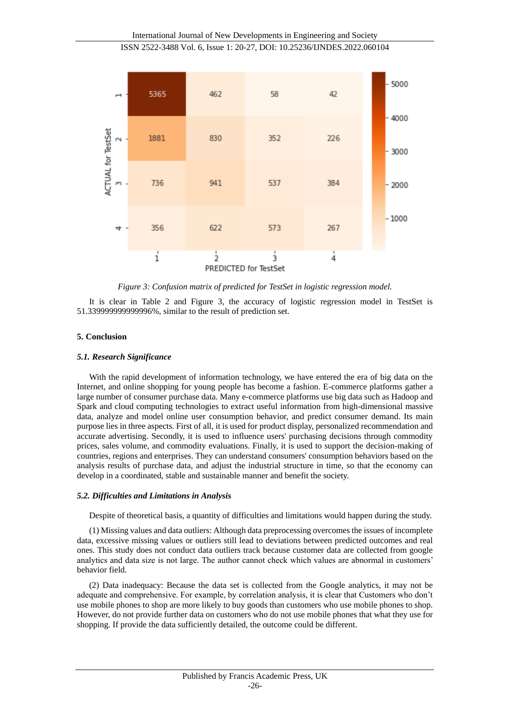

*Figure 3: Confusion matrix of predicted for TestSet in logistic regression model.*

It is clear in Table 2 and Figure 3, the accuracy of logistic regression model in TestSet is 51.339999999999996%, similar to the result of prediction set.

#### **5. Conclusion**

#### *5.1. Research Significance*

With the rapid development of information technology, we have entered the era of big data on the Internet, and online shopping for young people has become a fashion. E-commerce platforms gather a large number of consumer purchase data. Many e-commerce platforms use big data such as Hadoop and Spark and cloud computing technologies to extract useful information from high-dimensional massive data, analyze and model online user consumption behavior, and predict consumer demand. Its main purpose lies in three aspects. First of all, it is used for product display, personalized recommendation and accurate advertising. Secondly, it is used to influence users' purchasing decisions through commodity prices, sales volume, and commodity evaluations. Finally, it is used to support the decision-making of countries, regions and enterprises. They can understand consumers' consumption behaviors based on the analysis results of purchase data, and adjust the industrial structure in time, so that the economy can develop in a coordinated, stable and sustainable manner and benefit the society.

#### *5.2. Difficulties and Limitations in Analysis*

Despite of theoretical basis, a quantity of difficulties and limitations would happen during the study.

(1) Missing values and data outliers: Although data preprocessing overcomes the issues of incomplete data, excessive missing values or outliers still lead to deviations between predicted outcomes and real ones. This study does not conduct data outliers track because customer data are collected from google analytics and data size is not large. The author cannot check which values are abnormal in customers' behavior field.

(2) Data inadequacy: Because the data set is collected from the Google analytics, it may not be adequate and comprehensive. For example, by correlation analysis, it is clear that Customers who don't use mobile phones to shop are more likely to buy goods than customers who use mobile phones to shop. However, do not provide further data on customers who do not use mobile phones that what they use for shopping. If provide the data sufficiently detailed, the outcome could be different.